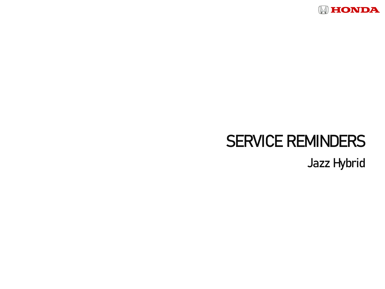

## SERVICE REMINDERS

Jazz Hybrid